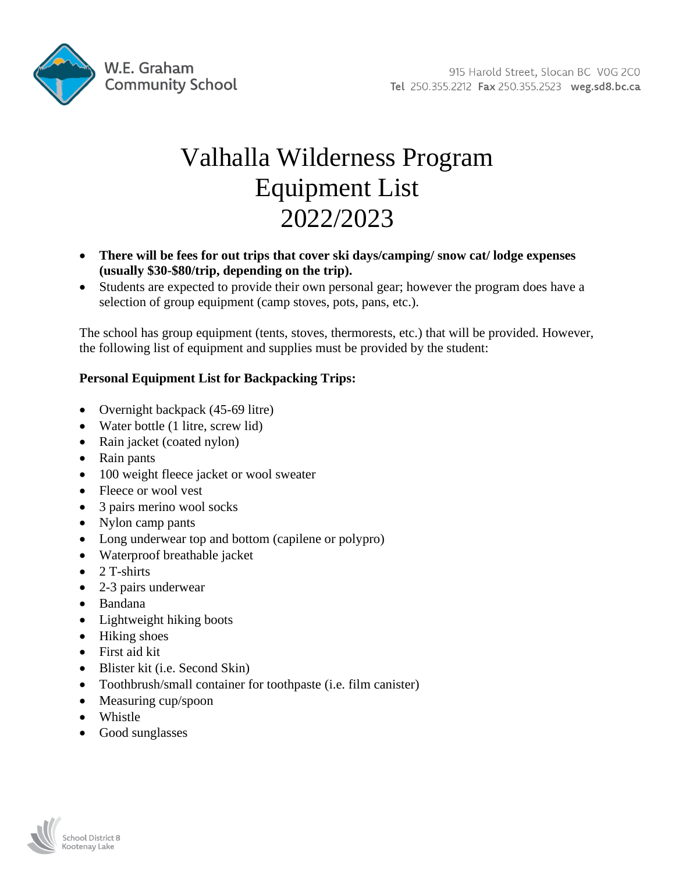

# Valhalla Wilderness Program Equipment List 2022/2023

- **There will be fees for out trips that cover ski days/camping/ snow cat/ lodge expenses (usually \$30-\$80/trip, depending on the trip).**
- Students are expected to provide their own personal gear; however the program does have a selection of group equipment (camp stoves, pots, pans, etc.).

The school has group equipment (tents, stoves, thermorests, etc.) that will be provided. However, the following list of equipment and supplies must be provided by the student:

# **Personal Equipment List for Backpacking Trips:**

- Overnight backpack (45-69 litre)
- Water bottle (1 litre, screw lid)
- Rain jacket (coated nylon)
- Rain pants
- 100 weight fleece jacket or wool sweater
- Fleece or wool vest
- 3 pairs merino wool socks
- Nylon camp pants
- Long underwear top and bottom (capilene or polypro)
- Waterproof breathable jacket
- $\bullet$  2 T-shirts
- 2-3 pairs underwear
- Bandana
- Lightweight hiking boots
- Hiking shoes
- First aid kit
- Blister kit (i.e. Second Skin)
- Toothbrush/small container for toothpaste (i.e. film canister)
- Measuring cup/spoon
- Whistle
- Good sunglasses